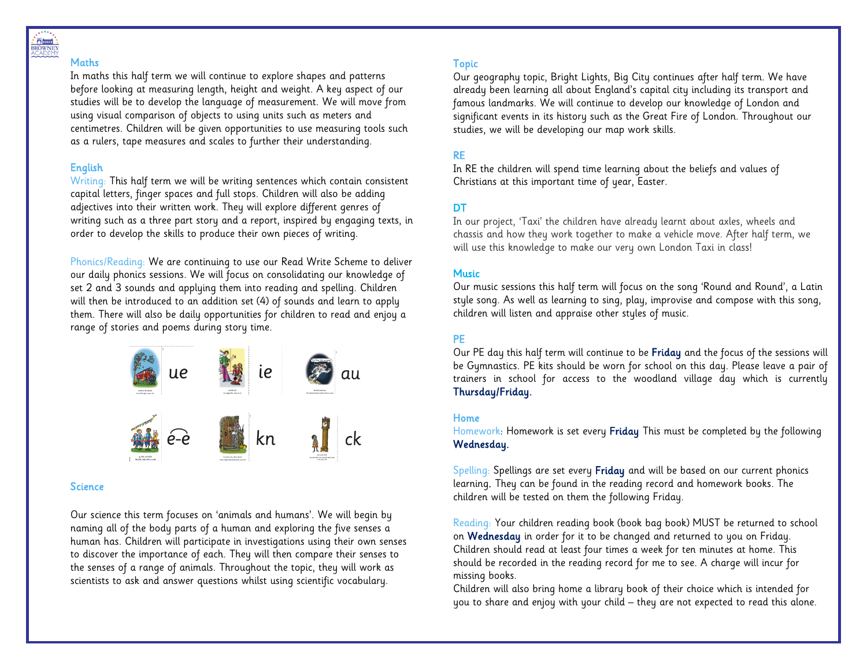

#### **Maths**

In maths this half term we will continue to explore shapes and patterns before looking at measuring length, height and weight. A key aspect of our studies will be to develop the language of measurement. We will move from using visual comparison of objects to using units such as meters and centimetres. Children will be given opportunities to use measuring tools such as a rulers, tape measures and scales to further their understanding.

## English

Writing: This half term we will be writing sentences which contain consistent capital letters, finger spaces and full stops. Children will also be adding adjectives into their written work. They will explore different genres of writing such as a three part story and a report, inspired by engaging texts, in order to develop the skills to produce their own pieces of writing.

Phonics/Reading: We are continuing to use our Read Write Scheme to deliver our daily phonics sessions. We will focus on consolidating our knowledge of set 2 and 3 sounds and applying them into reading and spelling. Children will then be introduced to an addition set (4) of sounds and learn to apply them. There will also be daily opportunities for children to read and enjoy a range of stories and poems during story time.



### **Science**

Our science this term focuses on 'animals and humans'. We will begin by naming all of the body parts of a human and exploring the five senses a human has. Children will participate in investigations using their own senses to discover the importance of each. They will then compare their senses to the senses of a range of animals. Throughout the topic, they will work as scientists to ask and answer questions whilst using scientific vocabulary.

#### Topic

Our geography topic, Bright Lights, Big City continues after half term. We have already been learning all about England's capital city including its transport and famous landmarks. We will continue to develop our knowledge of London and significant events in its history such as the Great Fire of London. Throughout our studies, we will be developing our map work skills.

## RE

In RE the children will spend time learning about the beliefs and values of Christians at this important time of year, Easter.

## DT.

In our project, 'Taxi' the children have already learnt about axles, wheels and chassis and how they work together to make a vehicle move. After half term, we will use this knowledge to make our very own London Taxi in class!

#### **Music**

Our music sessions this half term will focus on the song 'Round and Round', a Latin style song. As well as learning to sing, play, improvise and compose with this song, children will listen and appraise other styles of music.

### PE

Our PE day this half term will continue to be Friday and the focus of the sessions will be Gymnastics. PE kits should be worn for school on this day. Please leave a pair of trainers in school for access to the woodland village day which is currently Thursday/Friday.

#### Home

Homework: Homework is set every Friday This must be completed by the following Wednesday.

Spelling: Spellings are set every Friday and will be based on our current phonics learning. They can be found in the reading record and homework books. The children will be tested on them the following Friday.

Reading: Your children reading book (book bag book) MUST be returned to school on Wednesday in order for it to be changed and returned to you on Friday. Children should read at least four times a week for ten minutes at home. This should be recorded in the reading record for me to see. A charge will incur for missing books.

Children will also bring home a library book of their choice which is intended for you to share and enjoy with your child – they are not expected to read this alone.